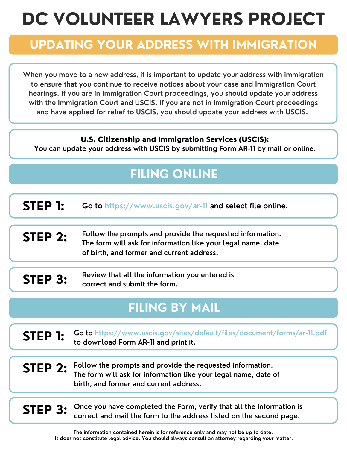# **DC VOLUNTEER LAWYERS PROJECT**

### **UPDATING YOUR ADDRESS WITH IMMIGRATION**

**When you move to a new address, it is important to update your address with immigration to ensure that you continue to receive notices about your case and Immigration Court hearings. If you are in Immigration Court proceedings, you should update your address with the Immigration Court and USCIS. If you are not in Immigration Court proceedings and have applied for relief to USCIS, you should update your address with USCIS.**

### U.S. Citizenship and Immigration Services (USCIS):

**You can update your address with USCIS by submitting Form AR-11 by mail or online.**

## **FILING ONLINE**

**Go to https://www.uscis.gov/ar-11 and select file online. STEP 1:**

**Follow the prompts and provide the requested information. The form will ask for information like your legal name, date of birth, and former and current address. STEP 2:**

**Review that all the information you entered is correct and submit the form. STEP 3:**

### **FILING BY MAIL**

#### **STEP 1: Go to https://www.uscis.gov/sites/default/files/document/forms/ar-11.pdf to download Form AR-11 and print it.**

**STEP 2: Follow the prompts and provide the requested information. The form will ask for information like your legal name, date of birth, and former and current address.**

**STEP 3:** Once you have completed the Form, verify that all the information is correct and mail the form to the address listed on the second page. **correct and mail the form to the address listed on the second page.**

> **The information contained herein is for reference only and may not be up to date. It does not constitute legal advice. You should always consult an attorney regarding your matter.**